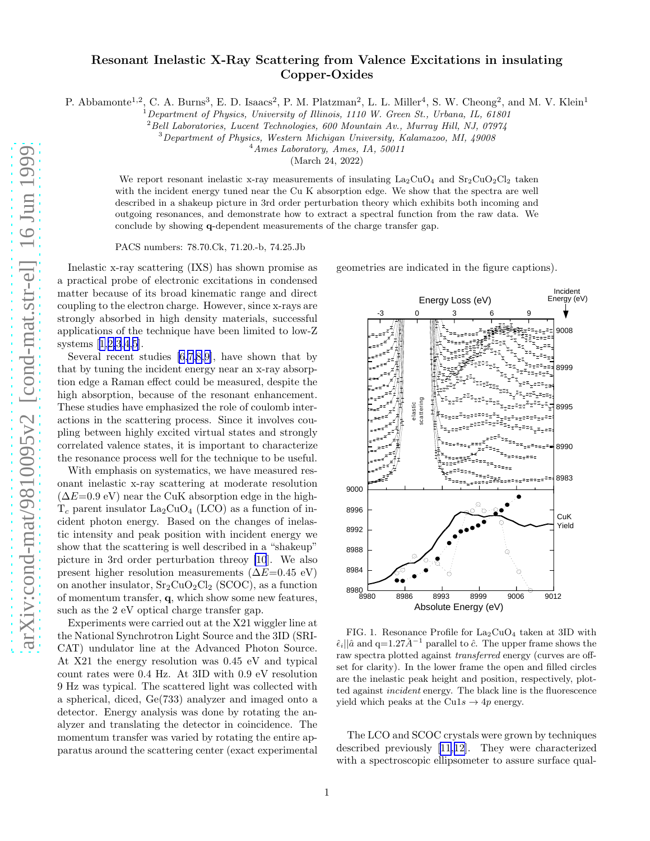## Resonant Inelastic X-Ray Scattering from Valence Excitations in insulating Copper-Oxides

P. Abbamonte<sup>1,2</sup>, C. A. Burns<sup>3</sup>, E. D. Isaacs<sup>2</sup>, P. M. Platzman<sup>2</sup>, L. L. Miller<sup>4</sup>, S. W. Cheong<sup>2</sup>, and M. V. Klein<sup>1</sup>

 $1$  Department of Physics, University of Illinois, 1110 W. Green St., Urbana, IL, 61801

 $^{2}$ Bell Laboratories, Lucent Technologies, 600 Mountain Av., Murray Hill, NJ, 07974

<sup>3</sup>Department of Physics, Western Michigan University, Kalamazoo, MI, 49008

 $4$ Ames Laboratory, Ames, IA, 50011

(March 24, 2022)

We report resonant inelastic x-ray measurements of insulating  $\text{La}_2\text{CuO}_4$  and  $\text{Sr}_2\text{CuO}_2\text{Cl}_2$  taken with the incident energy tuned near the Cu K absorption edge. We show that the spectra are well described in a shakeup picture in 3rd order perturbation theory which exhibits both incoming and outgoing resonances, and demonstrate how to extract a spectral function from the raw data. We conclude by showing q-dependent measurements of the charge transfer gap.

PACS numbers: 78.70.Ck, 71.20.-b, 74.25.Jb

Inelastic x-ray scattering (IXS) has shown promise as a practical probe of electronic excitations in condensed matter because of its broad kinematic range and direct coupling to the electron charge. However, since x-rays are strongly absorbed in high density materials, successful applications of the technique have been limited to low-Z systems[[1,2,3,4](#page-3-0),[5\]](#page-3-0).

Several recent studies [\[6,7](#page-3-0),[8,9\]](#page-3-0), have shown that by that by tuning the incident energy near an x-ray absorption edge a Raman effect could be measured, despite the high absorption, because of the resonant enhancement. These studies have emphasized the role of coulomb interactions in the scattering process. Since it involves coupling between highly excited virtual states and strongly correlated valence states, it is important to characterize the resonance process well for the technique to be useful.

With emphasis on systematics, we have measured resonant inelastic x-ray scattering at moderate resolution  $(\Delta E=0.9 \text{ eV})$  near the CuK absorption edge in the high- $T_c$  parent insulator  $La_2CuO_4$  (LCO) as a function of incident photon energy. Based on the changes of inelastic intensity and peak position with incident energy we show that the scattering is well described in a "shakeup" picture in 3rd order perturbation threoy [\[10](#page-3-0)]. We also present higher resolution measurements ( $\Delta E=0.45$  eV) on another insulator,  $Sr<sub>2</sub>CuO<sub>2</sub>Cl<sub>2</sub>$  (SCOC), as a function of momentum transfer, q, which show some new features, such as the 2 eV optical charge transfer gap.

Experiments were carried out at the X21 wiggler line at the National Synchrotron Light Source and the 3ID (SRI-CAT) undulator line at the Advanced Photon Source. At X21 the energy resolution was 0.45 eV and typical count rates were 0.4 Hz. At 3ID with 0.9 eV resolution 9 Hz was typical. The scattered light was collected with a spherical, diced, Ge(733) analyzer and imaged onto a detector. Energy analysis was done by rotating the analyzer and translating the detector in coincidence. The momentum transfer was varied by rotating the entire apparatus around the scattering center (exact experimental geometries are indicated in the figure captions).



FIG. 1. Resonance Profile for  $La_2CuO_4$  taken at 3ID with  $\hat{\epsilon}_i || \hat{a}$  and  $q=1.27\AA^{-1}$  parallel to  $\hat{c}$ . The upper frame shows the raw spectra plotted against transferred energy (curves are offset for clarity). In the lower frame the open and filled circles are the inelastic peak height and position, respectively, plotted against incident energy. The black line is the fluorescence yield which peaks at the Cu1s  $\rightarrow$  4p energy.

The LCO and SCOC crystals were grown by techniques described previously[[11](#page-3-0),[12\]](#page-3-0). They were characterized with a spectroscopic ellipsometer to assure surface qual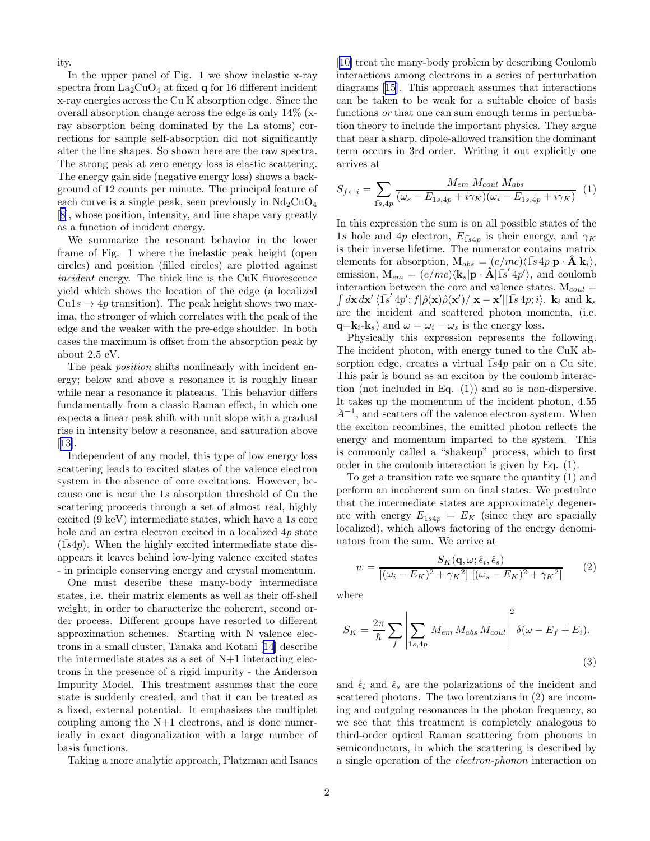ity.

In the upper panel of Fig. 1 we show inelastic x-ray spectra from  $La_2CuO_4$  at fixed q for 16 different incident x-ray energies across the Cu K absorption edge. Since the overall absorption change across the edge is only 14% (xray absorption being dominated by the La atoms) corrections for sample self-absorption did not significantly alter the line shapes. So shown here are the raw spectra. The strong peak at zero energy loss is elastic scattering. The energy gain side (negative energy loss) shows a background of 12 counts per minute. The principal feature of each curve is a single peak, seen previously in  $Nd_2CuO_4$ [[8\]](#page-3-0), whose position, intensity, and line shape vary greatly as a function of incident energy.

We summarize the resonant behavior in the lower frame of Fig. 1 where the inelastic peak height (open circles) and position (filled circles) are plotted against incident energy. The thick line is the CuK fluorescence yield which shows the location of the edge (a localized  $Cu1s \rightarrow 4p$  transition). The peak height shows two maxima, the stronger of which correlates with the peak of the edge and the weaker with the pre-edge shoulder. In both cases the maximum is offset from the absorption peak by about 2.5 eV.

The peak *position* shifts nonlinearly with incident energy; below and above a resonance it is roughly linear while near a resonance it plateaus. This behavior differs fundamentally from a classic Raman effect, in which one expects a linear peak shift with unit slope with a gradual rise in intensity below a resonance, and saturation above [[13\]](#page-3-0).

Independent of any model, this type of low energy loss scattering leads to excited states of the valence electron system in the absence of core excitations. However, because one is near the 1s absorption threshold of Cu the scattering proceeds through a set of almost real, highly excited (9 keV) intermediate states, which have a 1s core hole and an extra electron excited in a localized 4p state  $(1s4p)$ . When the highly excited intermediate state disappears it leaves behind low-lying valence excited states - in principle conserving energy and crystal momentum.

One must describe these many-body intermediate states, i.e. their matrix elements as well as their off-shell weight, in order to characterize the coherent, second order process. Different groups have resorted to different approximation schemes. Starting with N valence electrons in a small cluster, Tanaka and Kotani [\[14](#page-3-0)] describe the intermediate states as a set of N+1 interacting electrons in the presence of a rigid impurity - the Anderson Impurity Model. This treatment assumes that the core state is suddenly created, and that it can be treated as a fixed, external potential. It emphasizes the multiplet coupling among the N+1 electrons, and is done numerically in exact diagonalization with a large number of basis functions.

Taking a more analytic approach, Platzman and Isaacs

[[10\]](#page-3-0) treat the many-body problem by describing Coulomb interactions among electrons in a series of perturbation diagrams[[15\]](#page-3-0). This approach assumes that interactions can be taken to be weak for a suitable choice of basis functions *or* that one can sum enough terms in perturbation theory to include the important physics. They argue that near a sharp, dipole-allowed transition the dominant term occurs in 3rd order. Writing it out explicitly one arrives at

$$
S_{f \leftarrow i} = \sum_{\overline{1s}, 4p} \frac{M_{em} M_{coul} M_{abs}}{(\omega_s - E_{\overline{1s}, 4p} + i\gamma_K)(\omega_i - E_{\overline{1s}, 4p} + i\gamma_K)} \tag{1}
$$

In this expression the sum is on all possible states of the 1s hole and 4p electron,  $E_{1s4p}$  is their energy, and  $\gamma_K$ is their inverse lifetime. The numerator contains matrix elements for absorption,  $M_{abs} = (e/mc)\langle \overline{1s} 4p| \mathbf{p} \cdot \mathbf{\hat{A}} | \mathbf{k}_i \rangle$ , emission,  $M_{em} = (e/mc)\langle k_s| \mathbf{p} \cdot \hat{\mathbf{A}} | \overline{1s}^{\prime} 4p^{\prime} \rangle$ , and coulomb interaction between the core and valence states,  $M_{coul}$  =  $\int d\mathbf{x} \, d\mathbf{x}' \, \langle \bar{\mathbf{1}}s' \, 4p'; f | \hat{\rho}(\mathbf{x}) \hat{\rho}(\mathbf{x}') / |\mathbf{x} - \mathbf{x}'| |\bar{\mathbf{1}}s \, 4p; i \rangle$ .  $\mathbf{k}_i$  and  $\mathbf{k}_s$ are the incident and scattered photon momenta, (i.e.  $q=k_i-k_s$ ) and  $\omega = \omega_i - \omega_s$  is the energy loss.

Physically this expression represents the following. The incident photon, with energy tuned to the CuK absorption edge, creates a virtual  $1s4p$  pair on a Cu site. This pair is bound as an exciton by the coulomb interaction (not included in Eq. (1)) and so is non-dispersive. It takes up the momentum of the incident photon, 4.55  $A^{-1}$ , and scatters off the valence electron system. When the exciton recombines, the emitted photon reflects the energy and momentum imparted to the system. This is commonly called a "shakeup" process, which to first order in the coulomb interaction is given by Eq. (1).

To get a transition rate we square the quantity (1) and perform an incoherent sum on final states. We postulate that the intermediate states are approximately degenerate with energy  $E_{1s4p} = E_K$  (since they are spacially localized), which allows factoring of the energy denominators from the sum. We arrive at

$$
w = \frac{S_K(\mathbf{q}, \omega; \hat{\epsilon}_i, \hat{\epsilon}_s)}{\left[ (\omega_i - E_K)^2 + \gamma_K^2 \right] \left[ (\omega_s - E_K)^2 + \gamma_K^2 \right]} \tag{2}
$$

where

$$
S_K = \frac{2\pi}{\hbar} \sum_{f} \left| \sum_{\overline{1s}, 4p} M_{em} M_{abs} M_{coul} \right|^2 \delta(\omega - E_f + E_i).
$$
\n(3)

and  $\hat{\epsilon}_i$  and  $\hat{\epsilon}_s$  are the polarizations of the incident and scattered photons. The two lorentzians in (2) are incoming and outgoing resonances in the photon frequency, so we see that this treatment is completely analogous to third-order optical Raman scattering from phonons in semiconductors, in which the scattering is described by a single operation of the electron-phonon interaction on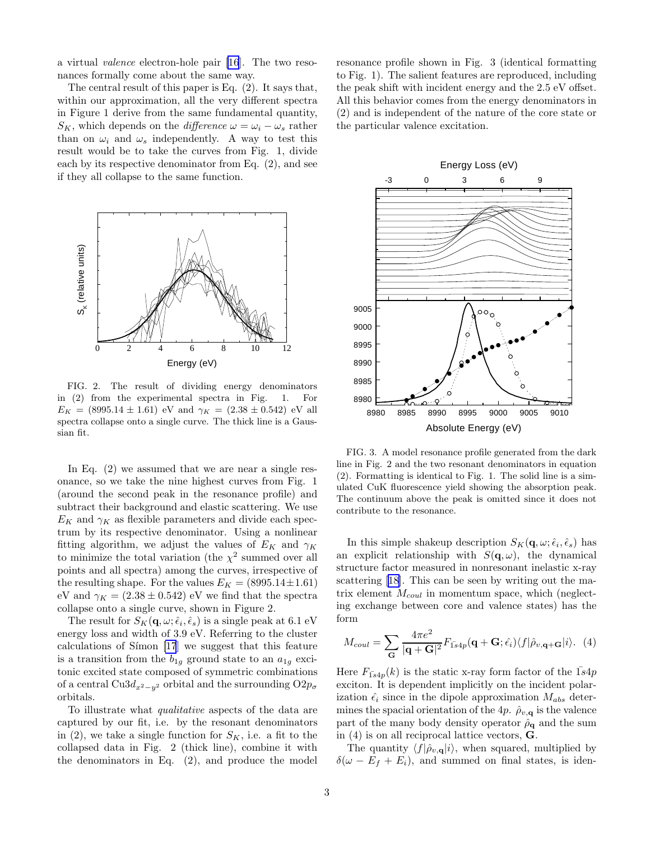a virtual valence electron-hole pair [\[16](#page-3-0)]. The two resonances formally come about the same way.

The central result of this paper is Eq. (2). It says that, within our approximation, all the very different spectra in Figure 1 derive from the same fundamental quantity,  $S_K$ , which depends on the *difference*  $\omega = \omega_i - \omega_s$  rather than on  $\omega_i$  and  $\omega_s$  independently. A way to test this result would be to take the curves from Fig. 1, divide each by its respective denominator from Eq. (2), and see if they all collapse to the same function.



FIG. 2. The result of dividing energy denominators in (2) from the experimental spectra in Fig. 1. For  $E_K = (8995.14 \pm 1.61)$  eV and  $\gamma_K = (2.38 \pm 0.542)$  eV all spectra collapse onto a single curve. The thick line is a Gaussian fit.

In Eq.  $(2)$  we assumed that we are near a single resonance, so we take the nine highest curves from Fig. 1 (around the second peak in the resonance profile) and subtract their background and elastic scattering. We use  $E_K$  and  $\gamma_K$  as flexible parameters and divide each spectrum by its respective denominator. Using a nonlinear fitting algorithm, we adjust the values of  $E_K$  and  $\gamma_K$ to minimize the total variation (the  $\chi^2$  summed over all points and all spectra) among the curves, irrespective of the resulting shape. For the values  $E_K = (8995.14 \pm 1.61)$ eV and  $\gamma_K = (2.38 \pm 0.542)$  eV we find that the spectra collapse onto a single curve, shown in Figure 2.

The result for  $S_K(\mathbf{q}, \omega; \hat{\epsilon}_i, \hat{\epsilon}_s)$  is a single peak at 6.1 eV energy loss and width of 3.9 eV. Referring to the cluster calculations of Símon  $[17]$  we suggest that this feature is a transition from the  $b_{1g}$  ground state to an  $a_{1g}$  excitonic excited state composed of symmetric combinations of a central Cu3 $d_{x^2-y^2}$  orbital and the surrounding  $O2p_{\sigma}$ orbitals.

To illustrate what qualitative aspects of the data are captured by our fit, i.e. by the resonant denominators in (2), we take a single function for  $S_K$ , i.e. a fit to the collapsed data in Fig. 2 (thick line), combine it with the denominators in Eq. (2), and produce the model

resonance profile shown in Fig. 3 (identical formatting to Fig. 1). The salient features are reproduced, including the peak shift with incident energy and the 2.5 eV offset. All this behavior comes from the energy denominators in (2) and is independent of the nature of the core state or the particular valence excitation.



FIG. 3. A model resonance profile generated from the dark line in Fig. 2 and the two resonant denominators in equation (2). Formatting is identical to Fig. 1. The solid line is a simulated CuK fluorescence yield showing the absorption peak. The continuum above the peak is omitted since it does not contribute to the resonance.

In this simple shakeup description  $S_K(\mathbf{q}, \omega; \hat{\epsilon}_i, \hat{\epsilon}_s)$  has an explicit relationship with  $S(\mathbf{q}, \omega)$ , the dynamical structure factor measured in nonresonant inelastic x-ray scattering[[18\]](#page-3-0). This can be seen by writing out the matrix element  $M_{coul}$  in momentum space, which (neglecting exchange between core and valence states) has the form

$$
M_{coul} = \sum_{\mathbf{G}} \frac{4\pi e^2}{|\mathbf{q} + \mathbf{G}|^2} F_{1s4p}(\mathbf{q} + \mathbf{G}; \hat{\epsilon}_i) \langle f | \hat{\rho}_{v, \mathbf{q} + \mathbf{G}} | i \rangle. (4)
$$

Here  $F_{1s4p}(k)$  is the static x-ray form factor of the  $1s4p$ exciton. It is dependent implicitly on the incident polarization  $\hat{\epsilon}_i$  since in the dipole approximation  $M_{abs}$  determines the spacial orientation of the 4p.  $\hat{\rho}_{v,\mathbf{q}}$  is the valence part of the many body density operator  $\hat{\rho}_{q}$  and the sum in (4) is on all reciprocal lattice vectors, G.

The quantity  $\langle f|\hat{\rho}_{v,\mathbf{q}}|i\rangle$ , when squared, multiplied by  $\delta(\omega - E_f + E_i)$ , and summed on final states, is iden